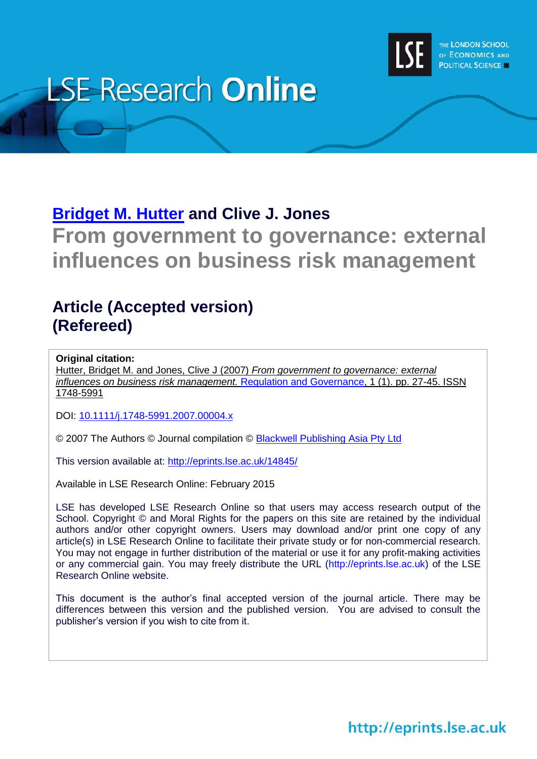

# **LSE Research Online**

# **[Bridget M. Hutter](http://www.lse.ac.uk/researchAndExpertise/Experts/profile.aspx?KeyValue=b.m.hutter@lse.ac.uk) and Clive J. Jones**

**From government to governance: external influences on business risk management**

## **Article (Accepted version) (Refereed)**

#### **Original citation:**

Hutter, Bridget M. and Jones, Clive J (2007) *From government to governance: external influences on business risk management.* [Regulation and Governance,](http://onlinelibrary.wiley.com/journal/10.1111/(ISSN)1748-5991) 1 (1). pp. 27-45. ISSN 1748-5991

DOI: [10.1111/j.1748-5991.2007.00004.x](http://dx.doi.org/10.1111/j.1748-5991.2007.00004.x)

© 2007 The Authors © Journal compilation © [Blackwell Publishing Asia Pty Ltd](http://onlinelibrary.wiley.com/)

This version available at:<http://eprints.lse.ac.uk/14845/>

Available in LSE Research Online: February 2015

LSE has developed LSE Research Online so that users may access research output of the School. Copyright © and Moral Rights for the papers on this site are retained by the individual authors and/or other copyright owners. Users may download and/or print one copy of any article(s) in LSE Research Online to facilitate their private study or for non-commercial research. You may not engage in further distribution of the material or use it for any profit-making activities or any commercial gain. You may freely distribute the URL (http://eprints.lse.ac.uk) of the LSE Research Online website.

This document is the author's final accepted version of the journal article. There may be differences between this version and the published version. You are advised to consult the publisher's version if you wish to cite from it.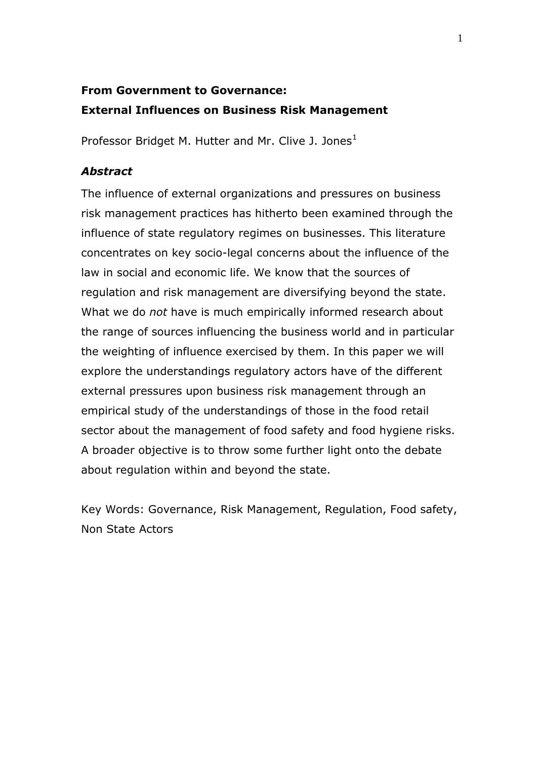## **From Government to Governance: External Influences on Business Risk Management**

Professor Bridget M. Hutter and Mr. Clive J. Jones<sup>1</sup>

#### *Abstract*

The influence of external organizations and pressures on business risk management practices has hitherto been examined through the influence of state regulatory regimes on businesses. This literature concentrates on key socio-legal concerns about the influence of the law in social and economic life. We know that the sources of regulation and risk management are diversifying beyond the state. What we do *not* have is much empirically informed research about the range of sources influencing the business world and in particular the weighting of influence exercised by them. In this paper we will explore the understandings regulatory actors have of the different external pressures upon business risk management through an empirical study of the understandings of those in the food retail sector about the management of food safety and food hygiene risks. A broader objective is to throw some further light onto the debate about regulation within and beyond the state.

Key Words: Governance, Risk Management, Regulation, Food safety, Non State Actors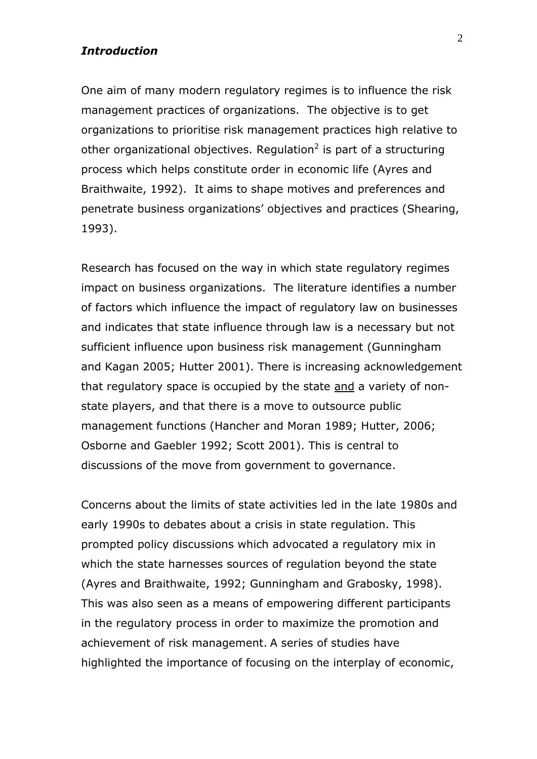#### *Introduction*

One aim of many modern regulatory regimes is to influence the risk management practices of organizations. The objective is to get organizations to prioritise risk management practices high relative to other organizational objectives. Regulation<sup>2</sup> is part of a structuring process which helps constitute order in economic life (Ayres and Braithwaite, 1992). It aims to shape motives and preferences and penetrate business organizations' objectives and practices (Shearing, 1993).

Research has focused on the way in which state regulatory regimes impact on business organizations. The literature identifies a number of factors which influence the impact of regulatory law on businesses and indicates that state influence through law is a necessary but not sufficient influence upon business risk management (Gunningham and Kagan 2005; Hutter 2001). There is increasing acknowledgement that regulatory space is occupied by the state and a variety of nonstate players, and that there is a move to outsource public management functions (Hancher and Moran 1989; Hutter, 2006; Osborne and Gaebler 1992; Scott 2001). This is central to discussions of the move from government to governance.

Concerns about the limits of state activities led in the late 1980s and early 1990s to debates about a crisis in state regulation. This prompted policy discussions which advocated a regulatory mix in which the state harnesses sources of regulation beyond the state (Ayres and Braithwaite, 1992; Gunningham and Grabosky, 1998). This was also seen as a means of empowering different participants in the regulatory process in order to maximize the promotion and achievement of risk management. A series of studies have highlighted the importance of focusing on the interplay of economic,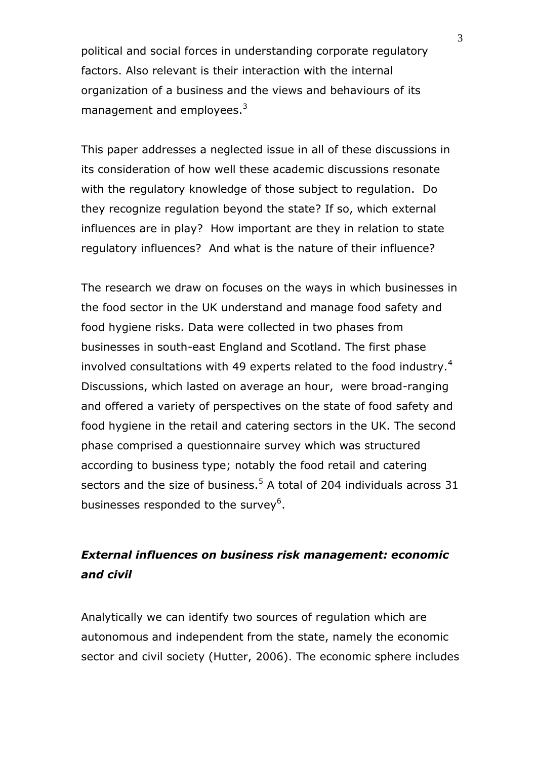political and social forces in understanding corporate regulatory factors. Also relevant is their interaction with the internal organization of a business and the views and behaviours of its management and employees.<sup>3</sup>

This paper addresses a neglected issue in all of these discussions in its consideration of how well these academic discussions resonate with the regulatory knowledge of those subject to regulation. Do they recognize regulation beyond the state? If so, which external influences are in play? How important are they in relation to state regulatory influences? And what is the nature of their influence?

The research we draw on focuses on the ways in which businesses in the food sector in the UK understand and manage food safety and food hygiene risks. Data were collected in two phases from businesses in south-east England and Scotland. The first phase involved consultations with 49 experts related to the food industry.<sup>4</sup> Discussions, which lasted on average an hour, were broad-ranging and offered a variety of perspectives on the state of food safety and food hygiene in the retail and catering sectors in the UK. The second phase comprised a questionnaire survey which was structured according to business type; notably the food retail and catering sectors and the size of business.<sup>5</sup> A total of 204 individuals across 31 businesses responded to the survey<sup>6</sup>.

### *External influences on business risk management: economic and civil*

Analytically we can identify two sources of regulation which are autonomous and independent from the state, namely the economic sector and civil society (Hutter, 2006). The economic sphere includes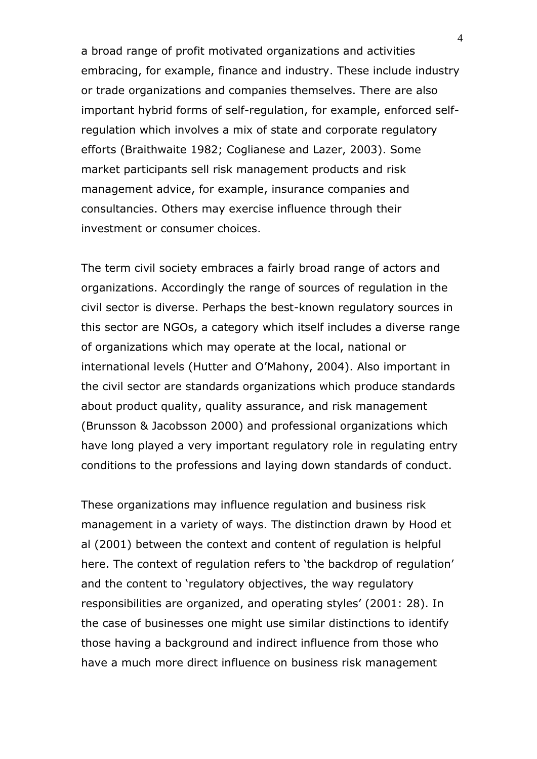a broad range of profit motivated organizations and activities embracing, for example, finance and industry. These include industry or trade organizations and companies themselves. There are also important hybrid forms of self-regulation, for example, enforced selfregulation which involves a mix of state and corporate regulatory efforts (Braithwaite 1982; Coglianese and Lazer, 2003). Some market participants sell risk management products and risk management advice, for example, insurance companies and consultancies. Others may exercise influence through their investment or consumer choices.

The term civil society embraces a fairly broad range of actors and organizations. Accordingly the range of sources of regulation in the civil sector is diverse. Perhaps the best-known regulatory sources in this sector are NGOs, a category which itself includes a diverse range of organizations which may operate at the local, national or international levels (Hutter and O'Mahony, 2004). Also important in the civil sector are standards organizations which produce standards about product quality, quality assurance, and risk management (Brunsson & Jacobsson 2000) and professional organizations which have long played a very important regulatory role in regulating entry conditions to the professions and laying down standards of conduct.

These organizations may influence regulation and business risk management in a variety of ways. The distinction drawn by Hood et al (2001) between the context and content of regulation is helpful here. The context of regulation refers to 'the backdrop of regulation' and the content to 'regulatory objectives, the way regulatory responsibilities are organized, and operating styles' (2001: 28). In the case of businesses one might use similar distinctions to identify those having a background and indirect influence from those who have a much more direct influence on business risk management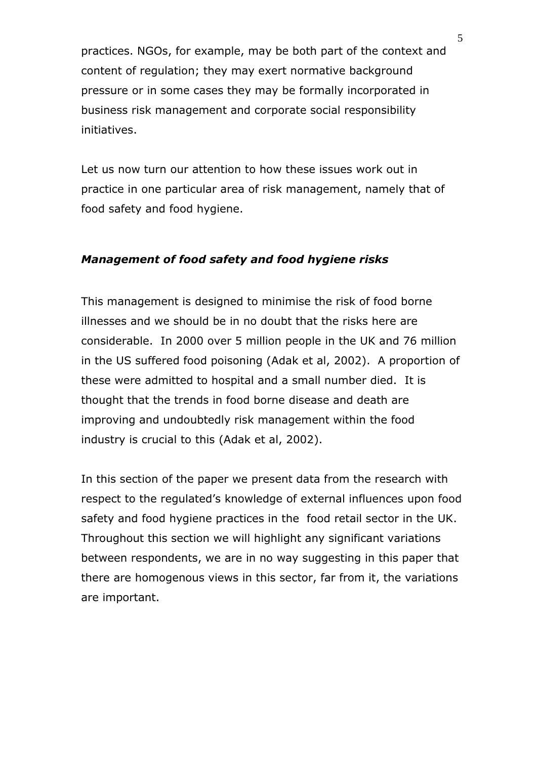practices. NGOs, for example, may be both part of the context and content of regulation; they may exert normative background pressure or in some cases they may be formally incorporated in business risk management and corporate social responsibility initiatives.

Let us now turn our attention to how these issues work out in practice in one particular area of risk management, namely that of food safety and food hygiene.

#### *Management of food safety and food hygiene risks*

This management is designed to minimise the risk of food borne illnesses and we should be in no doubt that the risks here are considerable. In 2000 over 5 million people in the UK and 76 million in the US suffered food poisoning (Adak et al, 2002). A proportion of these were admitted to hospital and a small number died. It is thought that the trends in food borne disease and death are improving and undoubtedly risk management within the food industry is crucial to this (Adak et al, 2002).

In this section of the paper we present data from the research with respect to the regulated's knowledge of external influences upon food safety and food hygiene practices in the food retail sector in the UK. Throughout this section we will highlight any significant variations between respondents, we are in no way suggesting in this paper that there are homogenous views in this sector, far from it, the variations are important.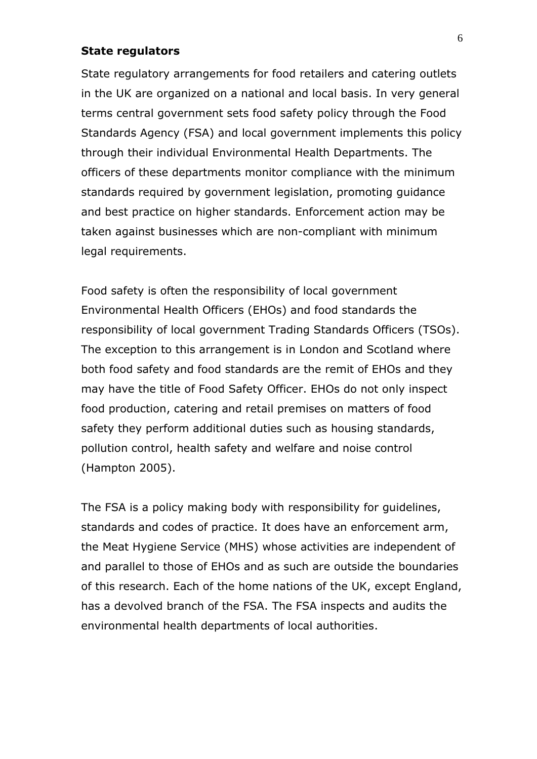#### **State regulators**

State regulatory arrangements for food retailers and catering outlets in the UK are organized on a national and local basis. In very general terms central government sets food safety policy through the Food Standards Agency (FSA) and local government implements this policy through their individual Environmental Health Departments. The officers of these departments monitor compliance with the minimum standards required by government legislation, promoting guidance and best practice on higher standards. Enforcement action may be taken against businesses which are non-compliant with minimum legal requirements.

Food safety is often the responsibility of local government Environmental Health Officers (EHOs) and food standards the responsibility of local government Trading Standards Officers (TSOs). The exception to this arrangement is in London and Scotland where both food safety and food standards are the remit of EHOs and they may have the title of Food Safety Officer. EHOs do not only inspect food production, catering and retail premises on matters of food safety they perform additional duties such as housing standards, pollution control, health safety and welfare and noise control (Hampton 2005).

The FSA is a policy making body with responsibility for guidelines, standards and codes of practice. It does have an enforcement arm, the Meat Hygiene Service (MHS) whose activities are independent of and parallel to those of EHOs and as such are outside the boundaries of this research. Each of the home nations of the UK, except England, has a devolved branch of the FSA. The FSA inspects and audits the environmental health departments of local authorities.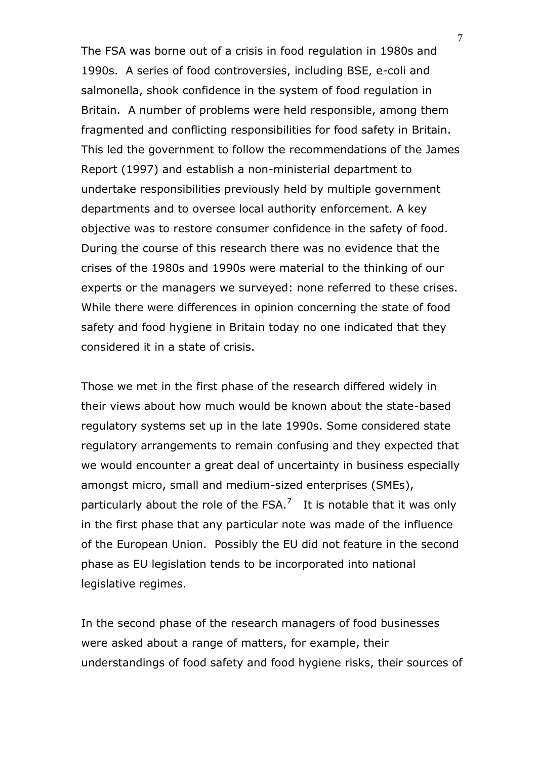The FSA was borne out of a crisis in food regulation in 1980s and 1990s. A series of food controversies, including BSE, e-coli and salmonella, shook confidence in the system of food regulation in Britain. A number of problems were held responsible, among them fragmented and conflicting responsibilities for food safety in Britain. This led the government to follow the recommendations of the James Report (1997) and establish a non-ministerial department to undertake responsibilities previously held by multiple government departments and to oversee local authority enforcement. A key objective was to restore consumer confidence in the safety of food. During the course of this research there was no evidence that the crises of the 1980s and 1990s were material to the thinking of our experts or the managers we surveyed: none referred to these crises. While there were differences in opinion concerning the state of food safety and food hygiene in Britain today no one indicated that they considered it in a state of crisis.

Those we met in the first phase of the research differed widely in their views about how much would be known about the state-based regulatory systems set up in the late 1990s. Some considered state regulatory arrangements to remain confusing and they expected that we would encounter a great deal of uncertainty in business especially amongst micro, small and medium-sized enterprises (SMEs), particularly about the role of the FSA.<sup>7</sup> It is notable that it was only in the first phase that any particular note was made of the influence of the European Union. Possibly the EU did not feature in the second phase as EU legislation tends to be incorporated into national legislative regimes.

In the second phase of the research managers of food businesses were asked about a range of matters, for example, their understandings of food safety and food hygiene risks, their sources of

7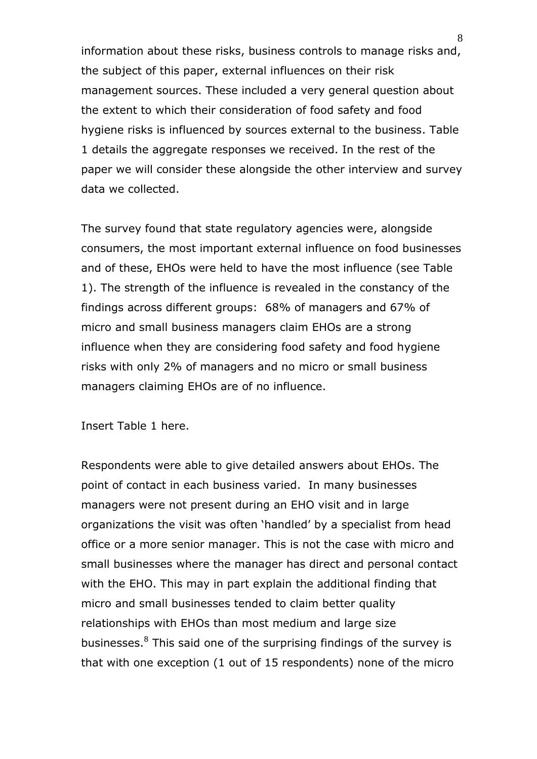information about these risks, business controls to manage risks and, the subject of this paper, external influences on their risk management sources. These included a very general question about the extent to which their consideration of food safety and food hygiene risks is influenced by sources external to the business. Table 1 details the aggregate responses we received. In the rest of the paper we will consider these alongside the other interview and survey data we collected.

The survey found that state regulatory agencies were, alongside consumers, the most important external influence on food businesses and of these, EHOs were held to have the most influence (see Table 1). The strength of the influence is revealed in the constancy of the findings across different groups: 68% of managers and 67% of micro and small business managers claim EHOs are a strong influence when they are considering food safety and food hygiene risks with only 2% of managers and no micro or small business managers claiming EHOs are of no influence.

Insert Table 1 here.

Respondents were able to give detailed answers about EHOs. The point of contact in each business varied. In many businesses managers were not present during an EHO visit and in large organizations the visit was often 'handled' by a specialist from head office or a more senior manager. This is not the case with micro and small businesses where the manager has direct and personal contact with the EHO. This may in part explain the additional finding that micro and small businesses tended to claim better quality relationships with EHOs than most medium and large size businesses.<sup>8</sup> This said one of the surprising findings of the survey is that with one exception (1 out of 15 respondents) none of the micro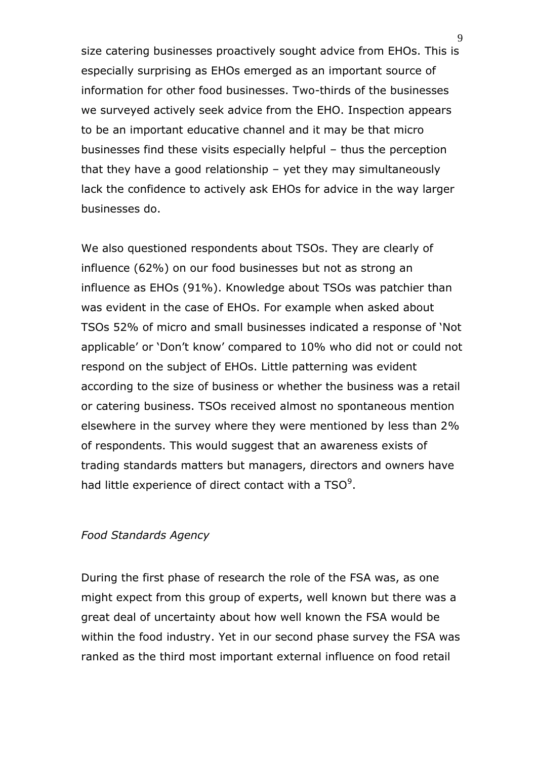size catering businesses proactively sought advice from EHOs. This is especially surprising as EHOs emerged as an important source of information for other food businesses. Two-thirds of the businesses we surveyed actively seek advice from the EHO. Inspection appears to be an important educative channel and it may be that micro businesses find these visits especially helpful – thus the perception that they have a good relationship – yet they may simultaneously lack the confidence to actively ask EHOs for advice in the way larger businesses do.

We also questioned respondents about TSOs. They are clearly of influence (62%) on our food businesses but not as strong an influence as EHOs (91%). Knowledge about TSOs was patchier than was evident in the case of EHOs. For example when asked about TSOs 52% of micro and small businesses indicated a response of 'Not applicable' or 'Don't know' compared to 10% who did not or could not respond on the subject of EHOs. Little patterning was evident according to the size of business or whether the business was a retail or catering business. TSOs received almost no spontaneous mention elsewhere in the survey where they were mentioned by less than 2% of respondents. This would suggest that an awareness exists of trading standards matters but managers, directors and owners have had little experience of direct contact with a  $TSO<sup>9</sup>$ .

#### *Food Standards Agency*

During the first phase of research the role of the FSA was, as one might expect from this group of experts, well known but there was a great deal of uncertainty about how well known the FSA would be within the food industry. Yet in our second phase survey the FSA was ranked as the third most important external influence on food retail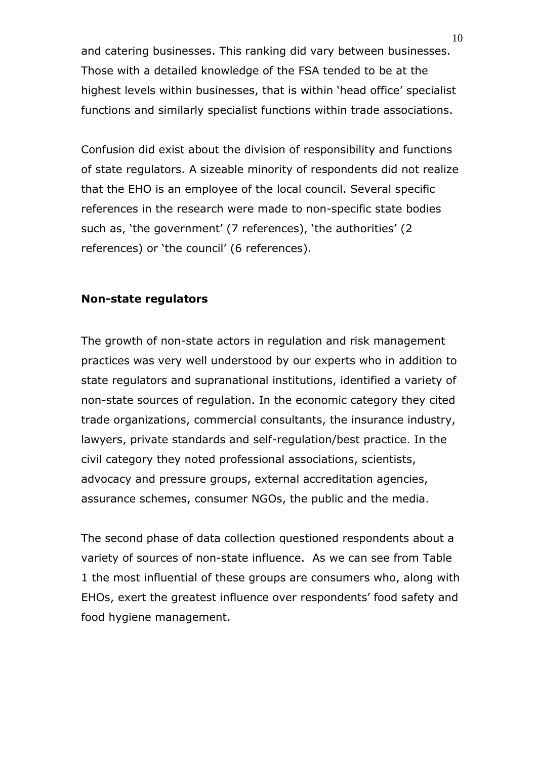and catering businesses. This ranking did vary between businesses. Those with a detailed knowledge of the FSA tended to be at the highest levels within businesses, that is within 'head office' specialist functions and similarly specialist functions within trade associations.

Confusion did exist about the division of responsibility and functions of state regulators. A sizeable minority of respondents did not realize that the EHO is an employee of the local council. Several specific references in the research were made to non-specific state bodies such as, 'the government' (7 references), 'the authorities' (2 references) or 'the council' (6 references).

#### **Non-state regulators**

The growth of non-state actors in regulation and risk management practices was very well understood by our experts who in addition to state regulators and supranational institutions, identified a variety of non-state sources of regulation. In the economic category they cited trade organizations, commercial consultants, the insurance industry, lawyers, private standards and self-regulation/best practice. In the civil category they noted professional associations, scientists, advocacy and pressure groups, external accreditation agencies, assurance schemes, consumer NGOs, the public and the media.

The second phase of data collection questioned respondents about a variety of sources of non-state influence. As we can see from Table 1 the most influential of these groups are consumers who, along with EHOs, exert the greatest influence over respondents' food safety and food hygiene management.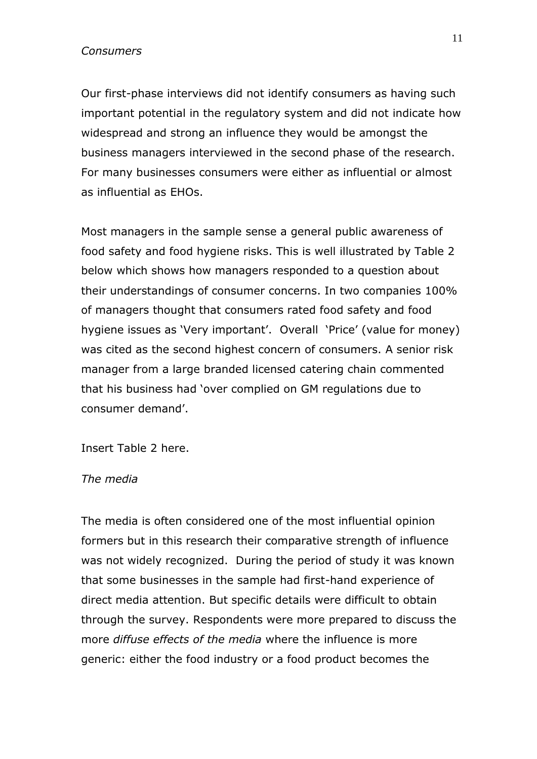#### *Consumers*

Our first-phase interviews did not identify consumers as having such important potential in the regulatory system and did not indicate how widespread and strong an influence they would be amongst the business managers interviewed in the second phase of the research. For many businesses consumers were either as influential or almost as influential as EHOs.

Most managers in the sample sense a general public awareness of food safety and food hygiene risks. This is well illustrated by Table 2 below which shows how managers responded to a question about their understandings of consumer concerns. In two companies 100% of managers thought that consumers rated food safety and food hygiene issues as 'Very important'. Overall 'Price' (value for money) was cited as the second highest concern of consumers. A senior risk manager from a large branded licensed catering chain commented that his business had 'over complied on GM regulations due to consumer demand'.

Insert Table 2 here.

#### *The media*

The media is often considered one of the most influential opinion formers but in this research their comparative strength of influence was not widely recognized. During the period of study it was known that some businesses in the sample had first-hand experience of direct media attention. But specific details were difficult to obtain through the survey. Respondents were more prepared to discuss the more *diffuse effects of the media* where the influence is more generic: either the food industry or a food product becomes the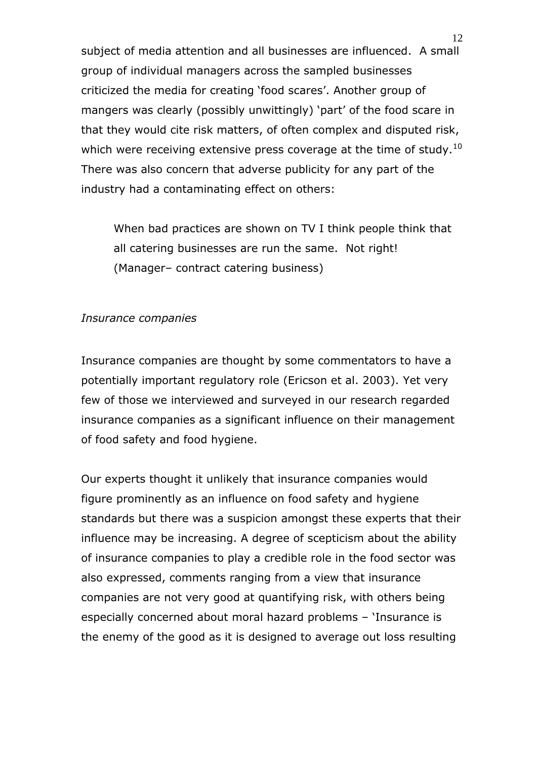subject of media attention and all businesses are influenced. A small group of individual managers across the sampled businesses criticized the media for creating 'food scares'. Another group of mangers was clearly (possibly unwittingly) 'part' of the food scare in that they would cite risk matters, of often complex and disputed risk, which were receiving extensive press coverage at the time of study.<sup>10</sup> There was also concern that adverse publicity for any part of the industry had a contaminating effect on others:

When bad practices are shown on TV I think people think that all catering businesses are run the same. Not right! (Manager– contract catering business)

#### *Insurance companies*

Insurance companies are thought by some commentators to have a potentially important regulatory role (Ericson et al. 2003). Yet very few of those we interviewed and surveyed in our research regarded insurance companies as a significant influence on their management of food safety and food hygiene.

Our experts thought it unlikely that insurance companies would figure prominently as an influence on food safety and hygiene standards but there was a suspicion amongst these experts that their influence may be increasing. A degree of scepticism about the ability of insurance companies to play a credible role in the food sector was also expressed, comments ranging from a view that insurance companies are not very good at quantifying risk, with others being especially concerned about moral hazard problems – 'Insurance is the enemy of the good as it is designed to average out loss resulting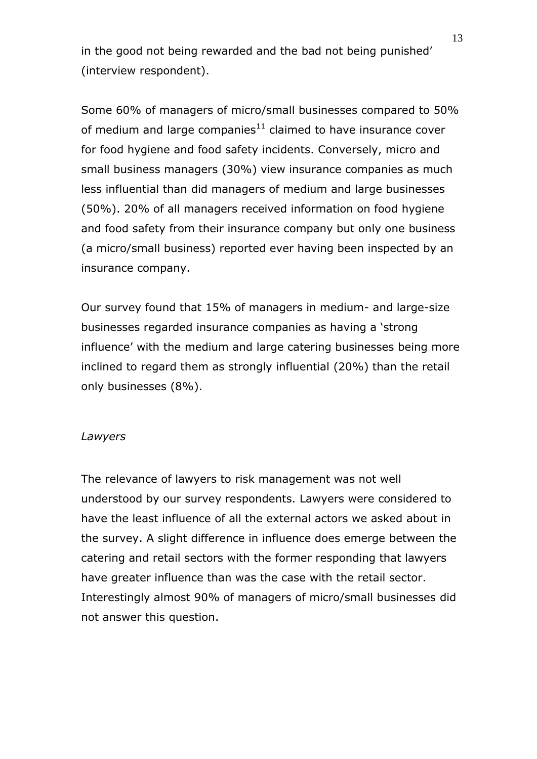in the good not being rewarded and the bad not being punished' (interview respondent).

Some 60% of managers of micro/small businesses compared to 50% of medium and large companies $11$  claimed to have insurance cover for food hygiene and food safety incidents. Conversely, micro and small business managers (30%) view insurance companies as much less influential than did managers of medium and large businesses (50%). 20% of all managers received information on food hygiene and food safety from their insurance company but only one business (a micro/small business) reported ever having been inspected by an insurance company.

Our survey found that 15% of managers in medium- and large-size businesses regarded insurance companies as having a 'strong influence' with the medium and large catering businesses being more inclined to regard them as strongly influential (20%) than the retail only businesses (8%).

#### *Lawyers*

The relevance of lawyers to risk management was not well understood by our survey respondents. Lawyers were considered to have the least influence of all the external actors we asked about in the survey. A slight difference in influence does emerge between the catering and retail sectors with the former responding that lawyers have greater influence than was the case with the retail sector. Interestingly almost 90% of managers of micro/small businesses did not answer this question.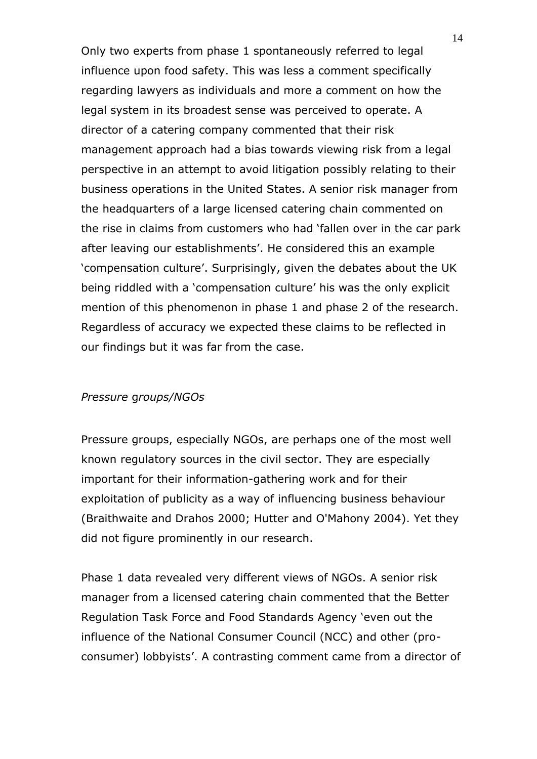Only two experts from phase 1 spontaneously referred to legal influence upon food safety. This was less a comment specifically regarding lawyers as individuals and more a comment on how the legal system in its broadest sense was perceived to operate. A director of a catering company commented that their risk management approach had a bias towards viewing risk from a legal perspective in an attempt to avoid litigation possibly relating to their business operations in the United States. A senior risk manager from the headquarters of a large licensed catering chain commented on the rise in claims from customers who had 'fallen over in the car park after leaving our establishments'. He considered this an example 'compensation culture'. Surprisingly, given the debates about the UK being riddled with a 'compensation culture' his was the only explicit mention of this phenomenon in phase 1 and phase 2 of the research. Regardless of accuracy we expected these claims to be reflected in our findings but it was far from the case.

#### *Pressure* g*roups/NGOs*

Pressure groups, especially NGOs, are perhaps one of the most well known regulatory sources in the civil sector. They are especially important for their information-gathering work and for their exploitation of publicity as a way of influencing business behaviour (Braithwaite and Drahos 2000; Hutter and O'Mahony 2004). Yet they did not figure prominently in our research.

Phase 1 data revealed very different views of NGOs. A senior risk manager from a licensed catering chain commented that the Better Regulation Task Force and Food Standards Agency 'even out the influence of the National Consumer Council (NCC) and other (proconsumer) lobbyists'. A contrasting comment came from a director of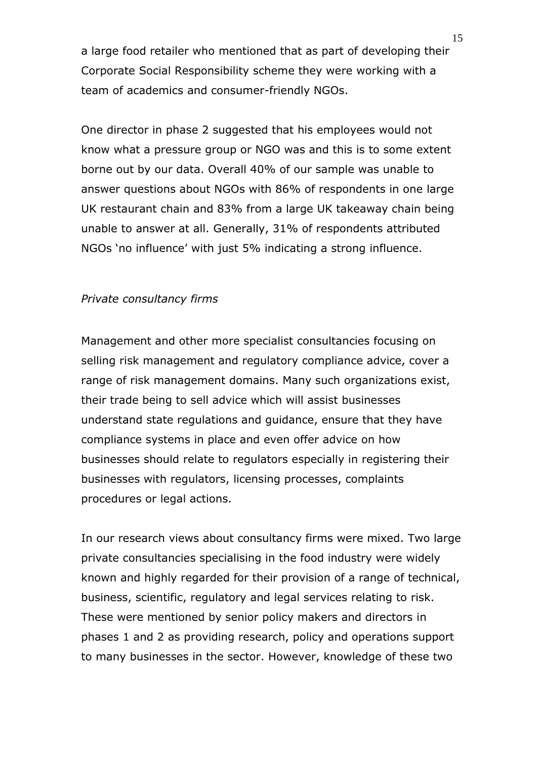a large food retailer who mentioned that as part of developing their Corporate Social Responsibility scheme they were working with a team of academics and consumer-friendly NGOs.

One director in phase 2 suggested that his employees would not know what a pressure group or NGO was and this is to some extent borne out by our data. Overall 40% of our sample was unable to answer questions about NGOs with 86% of respondents in one large UK restaurant chain and 83% from a large UK takeaway chain being unable to answer at all. Generally, 31% of respondents attributed NGOs 'no influence' with just 5% indicating a strong influence.

#### *Private consultancy firms*

Management and other more specialist consultancies focusing on selling risk management and regulatory compliance advice, cover a range of risk management domains. Many such organizations exist, their trade being to sell advice which will assist businesses understand state regulations and guidance, ensure that they have compliance systems in place and even offer advice on how businesses should relate to regulators especially in registering their businesses with regulators, licensing processes, complaints procedures or legal actions.

In our research views about consultancy firms were mixed. Two large private consultancies specialising in the food industry were widely known and highly regarded for their provision of a range of technical, business, scientific, regulatory and legal services relating to risk. These were mentioned by senior policy makers and directors in phases 1 and 2 as providing research, policy and operations support to many businesses in the sector. However, knowledge of these two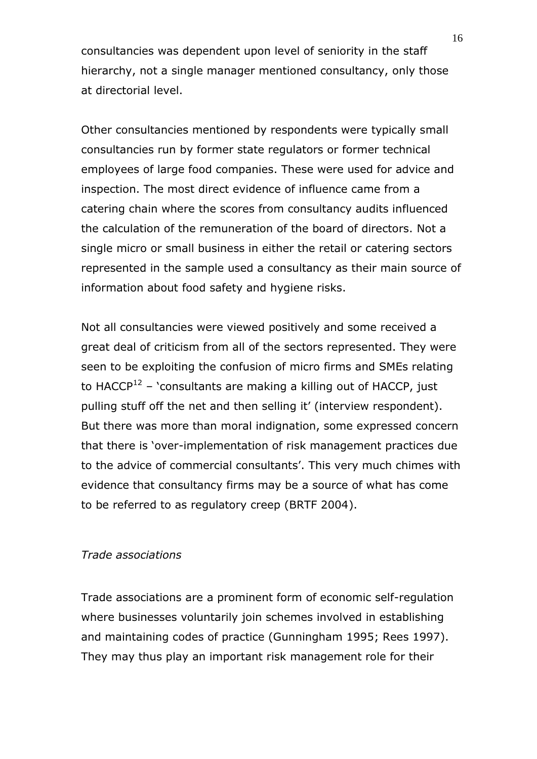consultancies was dependent upon level of seniority in the staff hierarchy, not a single manager mentioned consultancy, only those at directorial level.

Other consultancies mentioned by respondents were typically small consultancies run by former state regulators or former technical employees of large food companies. These were used for advice and inspection. The most direct evidence of influence came from a catering chain where the scores from consultancy audits influenced the calculation of the remuneration of the board of directors. Not a single micro or small business in either the retail or catering sectors represented in the sample used a consultancy as their main source of information about food safety and hygiene risks.

Not all consultancies were viewed positively and some received a great deal of criticism from all of the sectors represented. They were seen to be exploiting the confusion of micro firms and SMEs relating to HACCP<sup>12</sup> – 'consultants are making a killing out of HACCP, just pulling stuff off the net and then selling it' (interview respondent). But there was more than moral indignation, some expressed concern that there is 'over-implementation of risk management practices due to the advice of commercial consultants'. This very much chimes with evidence that consultancy firms may be a source of what has come to be referred to as regulatory creep (BRTF 2004).

#### *Trade associations*

Trade associations are a prominent form of economic self-regulation where businesses voluntarily join schemes involved in establishing and maintaining codes of practice (Gunningham 1995; Rees 1997). They may thus play an important risk management role for their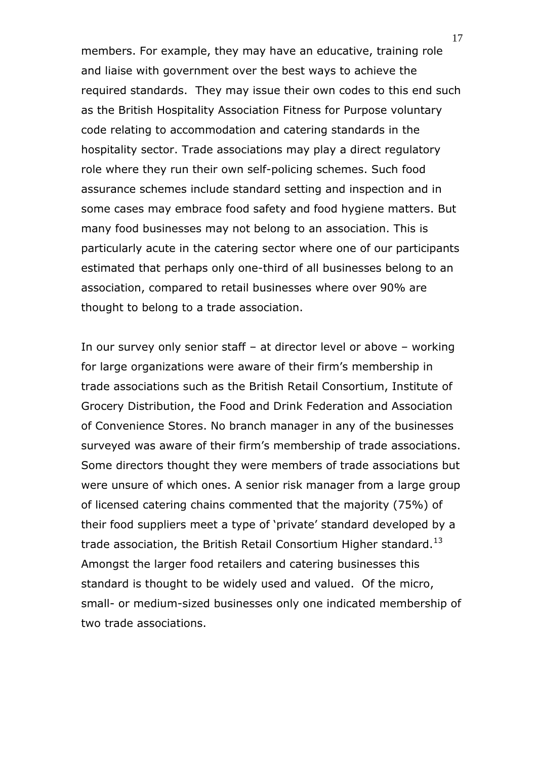members. For example, they may have an educative, training role and liaise with government over the best ways to achieve the required standards. They may issue their own codes to this end such as the British Hospitality Association Fitness for Purpose voluntary code relating to accommodation and catering standards in the hospitality sector. Trade associations may play a direct regulatory role where they run their own self-policing schemes. Such food assurance schemes include standard setting and inspection and in some cases may embrace food safety and food hygiene matters. But many food businesses may not belong to an association. This is particularly acute in the catering sector where one of our participants estimated that perhaps only one-third of all businesses belong to an association, compared to retail businesses where over 90% are thought to belong to a trade association.

In our survey only senior staff – at director level or above – working for large organizations were aware of their firm's membership in trade associations such as the British Retail Consortium, Institute of Grocery Distribution, the Food and Drink Federation and Association of Convenience Stores. No branch manager in any of the businesses surveyed was aware of their firm's membership of trade associations. Some directors thought they were members of trade associations but were unsure of which ones. A senior risk manager from a large group of licensed catering chains commented that the majority (75%) of their food suppliers meet a type of 'private' standard developed by a trade association, the British Retail Consortium Higher standard.<sup>13</sup> Amongst the larger food retailers and catering businesses this standard is thought to be widely used and valued. Of the micro, small- or medium-sized businesses only one indicated membership of two trade associations.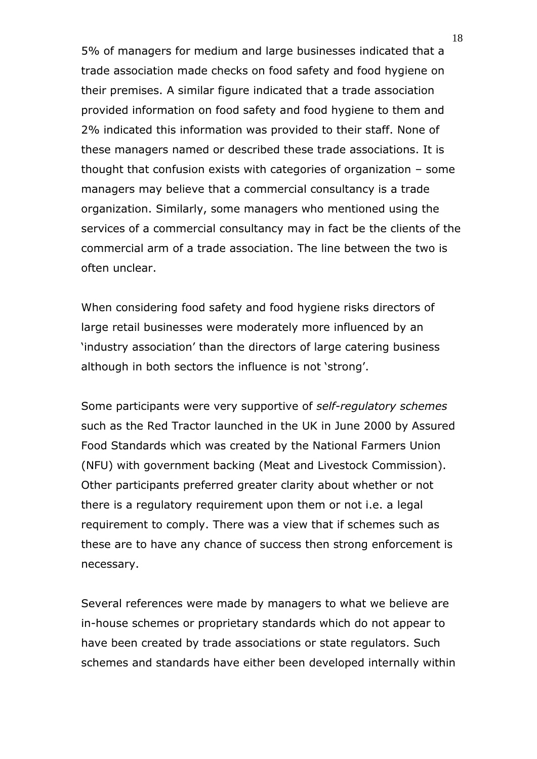5% of managers for medium and large businesses indicated that a trade association made checks on food safety and food hygiene on their premises. A similar figure indicated that a trade association provided information on food safety and food hygiene to them and 2% indicated this information was provided to their staff. None of these managers named or described these trade associations. It is thought that confusion exists with categories of organization – some managers may believe that a commercial consultancy is a trade organization. Similarly, some managers who mentioned using the services of a commercial consultancy may in fact be the clients of the commercial arm of a trade association. The line between the two is often unclear.

When considering food safety and food hygiene risks directors of large retail businesses were moderately more influenced by an 'industry association' than the directors of large catering business although in both sectors the influence is not 'strong'.

Some participants were very supportive of *self-regulatory schemes* such as the Red Tractor launched in the UK in June 2000 by Assured Food Standards which was created by the National Farmers Union (NFU) with government backing (Meat and Livestock Commission). Other participants preferred greater clarity about whether or not there is a regulatory requirement upon them or not i.e. a legal requirement to comply. There was a view that if schemes such as these are to have any chance of success then strong enforcement is necessary.

Several references were made by managers to what we believe are in-house schemes or proprietary standards which do not appear to have been created by trade associations or state regulators. Such schemes and standards have either been developed internally within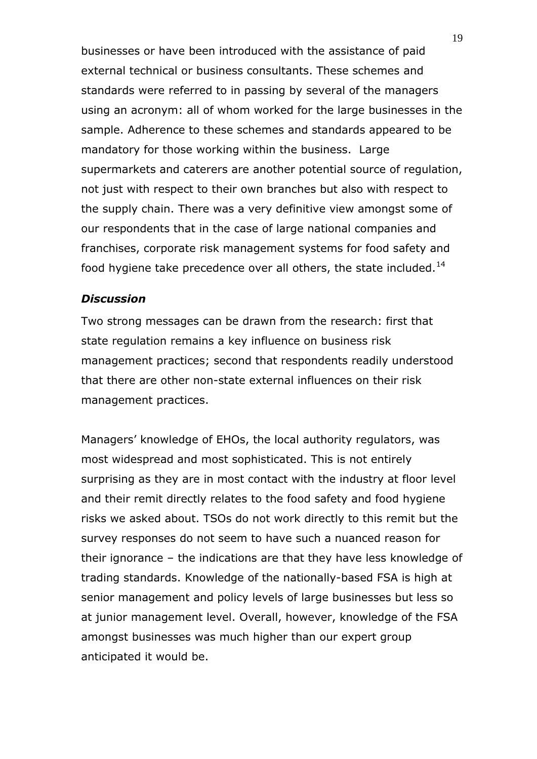businesses or have been introduced with the assistance of paid external technical or business consultants. These schemes and standards were referred to in passing by several of the managers using an acronym: all of whom worked for the large businesses in the sample. Adherence to these schemes and standards appeared to be mandatory for those working within the business. Large supermarkets and caterers are another potential source of regulation, not just with respect to their own branches but also with respect to the supply chain. There was a very definitive view amongst some of our respondents that in the case of large national companies and franchises, corporate risk management systems for food safety and food hygiene take precedence over all others, the state included. $^{14}$ 

#### *Discussion*

Two strong messages can be drawn from the research: first that state regulation remains a key influence on business risk management practices; second that respondents readily understood that there are other non-state external influences on their risk management practices.

Managers' knowledge of EHOs, the local authority regulators, was most widespread and most sophisticated. This is not entirely surprising as they are in most contact with the industry at floor level and their remit directly relates to the food safety and food hygiene risks we asked about. TSOs do not work directly to this remit but the survey responses do not seem to have such a nuanced reason for their ignorance – the indications are that they have less knowledge of trading standards. Knowledge of the nationally-based FSA is high at senior management and policy levels of large businesses but less so at junior management level. Overall, however, knowledge of the FSA amongst businesses was much higher than our expert group anticipated it would be.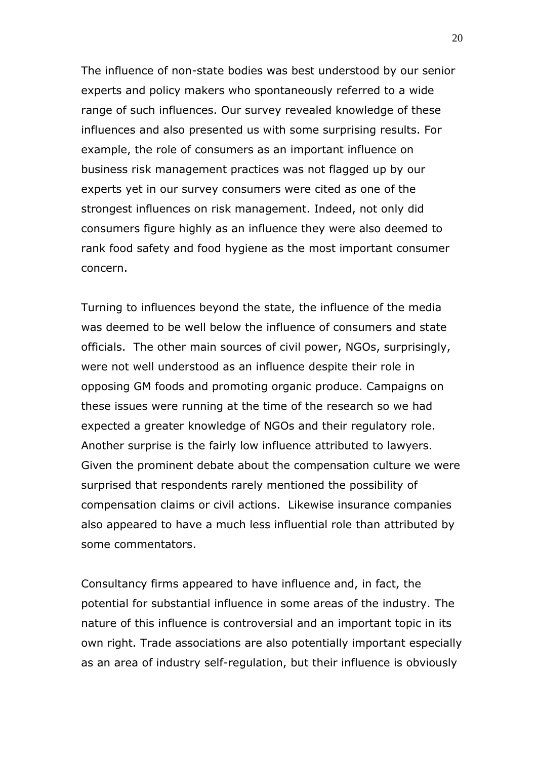The influence of non-state bodies was best understood by our senior experts and policy makers who spontaneously referred to a wide range of such influences. Our survey revealed knowledge of these influences and also presented us with some surprising results. For example, the role of consumers as an important influence on business risk management practices was not flagged up by our experts yet in our survey consumers were cited as one of the strongest influences on risk management. Indeed, not only did consumers figure highly as an influence they were also deemed to rank food safety and food hygiene as the most important consumer concern.

Turning to influences beyond the state, the influence of the media was deemed to be well below the influence of consumers and state officials. The other main sources of civil power, NGOs, surprisingly, were not well understood as an influence despite their role in opposing GM foods and promoting organic produce. Campaigns on these issues were running at the time of the research so we had expected a greater knowledge of NGOs and their regulatory role. Another surprise is the fairly low influence attributed to lawyers. Given the prominent debate about the compensation culture we were surprised that respondents rarely mentioned the possibility of compensation claims or civil actions. Likewise insurance companies also appeared to have a much less influential role than attributed by some commentators.

Consultancy firms appeared to have influence and, in fact, the potential for substantial influence in some areas of the industry. The nature of this influence is controversial and an important topic in its own right. Trade associations are also potentially important especially as an area of industry self-regulation, but their influence is obviously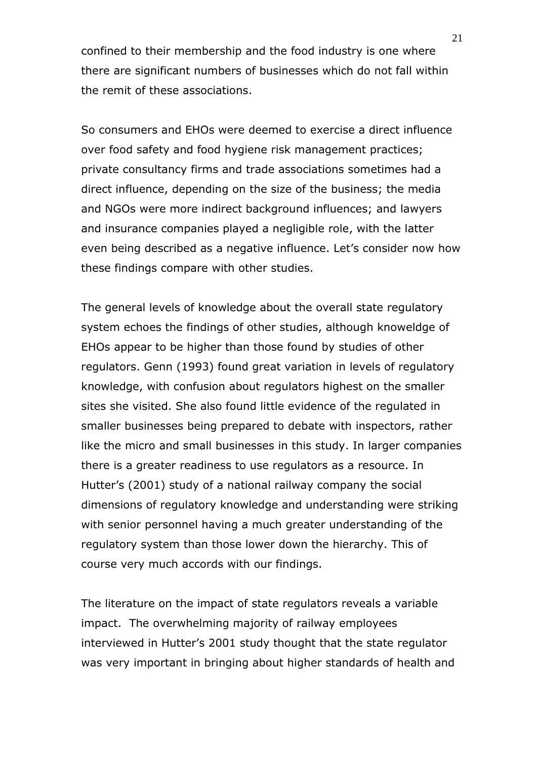confined to their membership and the food industry is one where there are significant numbers of businesses which do not fall within the remit of these associations.

So consumers and EHOs were deemed to exercise a direct influence over food safety and food hygiene risk management practices; private consultancy firms and trade associations sometimes had a direct influence, depending on the size of the business; the media and NGOs were more indirect background influences; and lawyers and insurance companies played a negligible role, with the latter even being described as a negative influence. Let's consider now how these findings compare with other studies.

The general levels of knowledge about the overall state regulatory system echoes the findings of other studies, although knoweldge of EHOs appear to be higher than those found by studies of other regulators. Genn (1993) found great variation in levels of regulatory knowledge, with confusion about regulators highest on the smaller sites she visited. She also found little evidence of the regulated in smaller businesses being prepared to debate with inspectors, rather like the micro and small businesses in this study. In larger companies there is a greater readiness to use regulators as a resource. In Hutter's (2001) study of a national railway company the social dimensions of regulatory knowledge and understanding were striking with senior personnel having a much greater understanding of the regulatory system than those lower down the hierarchy. This of course very much accords with our findings.

The literature on the impact of state regulators reveals a variable impact. The overwhelming majority of railway employees interviewed in Hutter's 2001 study thought that the state regulator was very important in bringing about higher standards of health and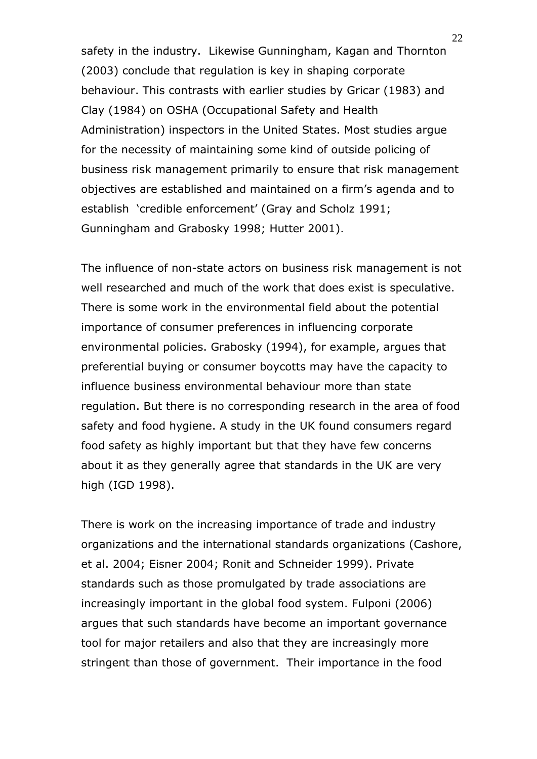safety in the industry. Likewise Gunningham, Kagan and Thornton (2003) conclude that regulation is key in shaping corporate behaviour. This contrasts with earlier studies by Gricar (1983) and Clay (1984) on OSHA (Occupational Safety and Health Administration) inspectors in the United States. Most studies argue for the necessity of maintaining some kind of outside policing of business risk management primarily to ensure that risk management objectives are established and maintained on a firm's agenda and to establish 'credible enforcement' (Gray and Scholz 1991; Gunningham and Grabosky 1998; Hutter 2001).

The influence of non-state actors on business risk management is not well researched and much of the work that does exist is speculative. There is some work in the environmental field about the potential importance of consumer preferences in influencing corporate environmental policies. Grabosky (1994), for example, argues that preferential buying or consumer boycotts may have the capacity to influence business environmental behaviour more than state regulation. But there is no corresponding research in the area of food safety and food hygiene. A study in the UK found consumers regard food safety as highly important but that they have few concerns about it as they generally agree that standards in the UK are very high (IGD 1998).

There is work on the increasing importance of trade and industry organizations and the international standards organizations (Cashore, et al. 2004; Eisner 2004; Ronit and Schneider 1999). Private standards such as those promulgated by trade associations are increasingly important in the global food system. Fulponi (2006) argues that such standards have become an important governance tool for major retailers and also that they are increasingly more stringent than those of government. Their importance in the food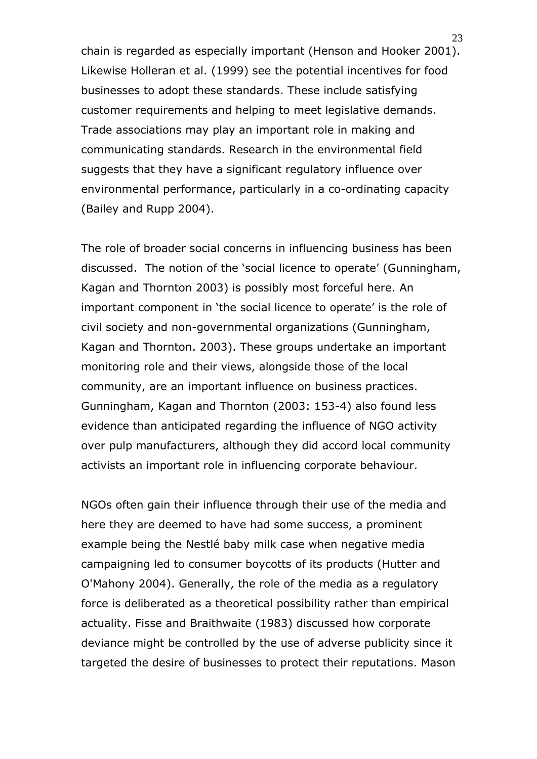chain is regarded as especially important (Henson and Hooker 2001). Likewise Holleran et al. (1999) see the potential incentives for food businesses to adopt these standards. These include satisfying customer requirements and helping to meet legislative demands. Trade associations may play an important role in making and communicating standards. Research in the environmental field suggests that they have a significant regulatory influence over environmental performance, particularly in a co-ordinating capacity (Bailey and Rupp 2004).

The role of broader social concerns in influencing business has been discussed. The notion of the 'social licence to operate' (Gunningham, Kagan and Thornton 2003) is possibly most forceful here. An important component in 'the social licence to operate' is the role of civil society and non-governmental organizations (Gunningham, Kagan and Thornton. 2003). These groups undertake an important monitoring role and their views, alongside those of the local community, are an important influence on business practices. Gunningham, Kagan and Thornton (2003: 153-4) also found less evidence than anticipated regarding the influence of NGO activity over pulp manufacturers, although they did accord local community activists an important role in influencing corporate behaviour.

NGOs often gain their influence through their use of the media and here they are deemed to have had some success, a prominent example being the Nestlé baby milk case when negative media campaigning led to consumer boycotts of its products (Hutter and O'Mahony 2004). Generally, the role of the media as a regulatory force is deliberated as a theoretical possibility rather than empirical actuality. Fisse and Braithwaite (1983) discussed how corporate deviance might be controlled by the use of adverse publicity since it targeted the desire of businesses to protect their reputations. Mason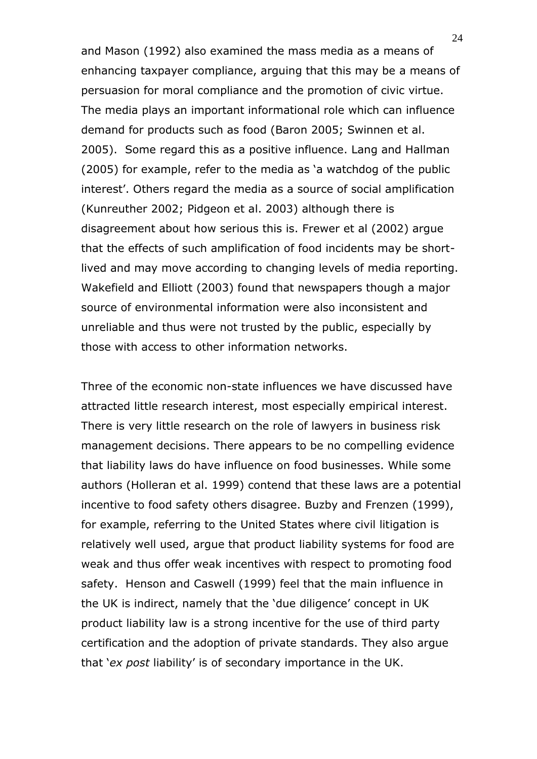and Mason (1992) also examined the mass media as a means of enhancing taxpayer compliance, arguing that this may be a means of persuasion for moral compliance and the promotion of civic virtue. The media plays an important informational role which can influence demand for products such as food (Baron 2005; Swinnen et al. 2005). Some regard this as a positive influence. Lang and Hallman (2005) for example, refer to the media as 'a watchdog of the public interest'. Others regard the media as a source of social amplification (Kunreuther 2002; Pidgeon et al. 2003) although there is disagreement about how serious this is. Frewer et al (2002) argue that the effects of such amplification of food incidents may be shortlived and may move according to changing levels of media reporting. Wakefield and Elliott (2003) found that newspapers though a major source of environmental information were also inconsistent and unreliable and thus were not trusted by the public, especially by those with access to other information networks.

Three of the economic non-state influences we have discussed have attracted little research interest, most especially empirical interest. There is very little research on the role of lawyers in business risk management decisions. There appears to be no compelling evidence that liability laws do have influence on food businesses. While some authors (Holleran et al. 1999) contend that these laws are a potential incentive to food safety others disagree. Buzby and Frenzen (1999), for example, referring to the United States where civil litigation is relatively well used, argue that product liability systems for food are weak and thus offer weak incentives with respect to promoting food safety. Henson and Caswell (1999) feel that the main influence in the UK is indirect, namely that the 'due diligence' concept in UK product liability law is a strong incentive for the use of third party certification and the adoption of private standards. They also argue that '*ex post* liability' is of secondary importance in the UK.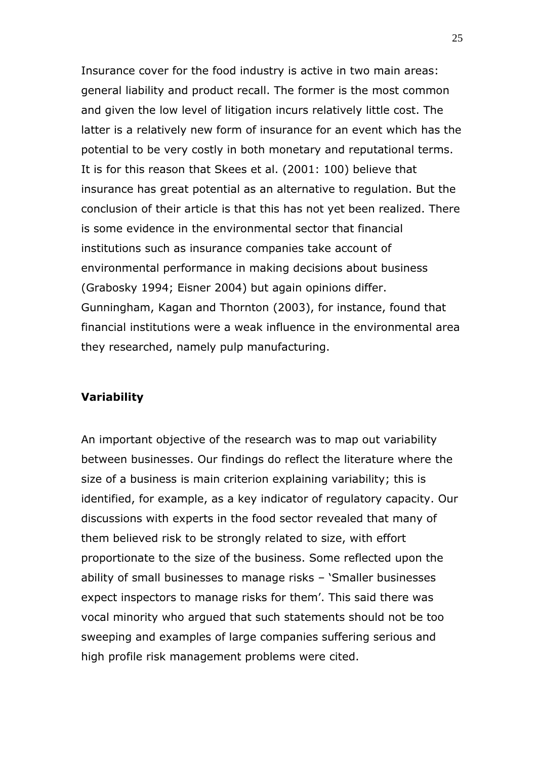Insurance cover for the food industry is active in two main areas: general liability and product recall. The former is the most common and given the low level of litigation incurs relatively little cost. The latter is a relatively new form of insurance for an event which has the potential to be very costly in both monetary and reputational terms. It is for this reason that Skees et al. (2001: 100) believe that insurance has great potential as an alternative to regulation. But the conclusion of their article is that this has not yet been realized. There is some evidence in the environmental sector that financial institutions such as insurance companies take account of environmental performance in making decisions about business (Grabosky 1994; Eisner 2004) but again opinions differ. Gunningham, Kagan and Thornton (2003), for instance, found that financial institutions were a weak influence in the environmental area they researched, namely pulp manufacturing.

#### **Variability**

An important objective of the research was to map out variability between businesses. Our findings do reflect the literature where the size of a business is main criterion explaining variability; this is identified, for example, as a key indicator of regulatory capacity. Our discussions with experts in the food sector revealed that many of them believed risk to be strongly related to size, with effort proportionate to the size of the business. Some reflected upon the ability of small businesses to manage risks – 'Smaller businesses expect inspectors to manage risks for them'. This said there was vocal minority who argued that such statements should not be too sweeping and examples of large companies suffering serious and high profile risk management problems were cited.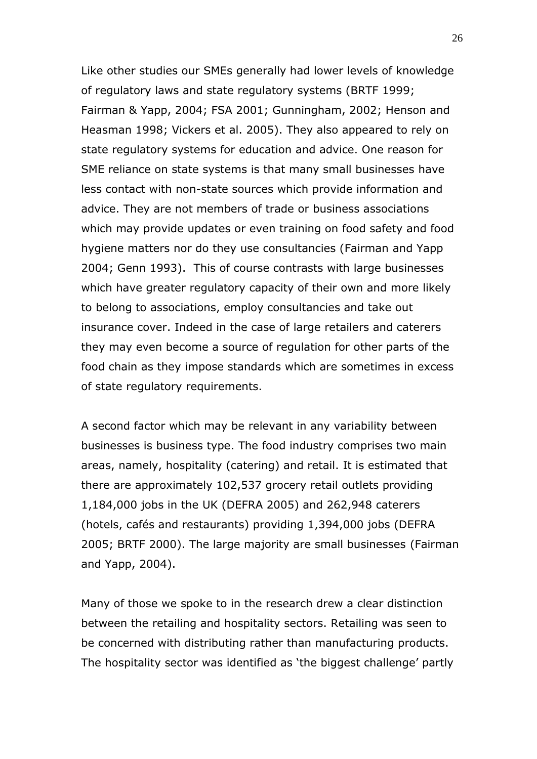Like other studies our SMEs generally had lower levels of knowledge of regulatory laws and state regulatory systems (BRTF 1999; Fairman & Yapp, 2004; FSA 2001; Gunningham, 2002; Henson and Heasman 1998; Vickers et al. 2005). They also appeared to rely on state regulatory systems for education and advice. One reason for SME reliance on state systems is that many small businesses have less contact with non-state sources which provide information and advice. They are not members of trade or business associations which may provide updates or even training on food safety and food hygiene matters nor do they use consultancies (Fairman and Yapp 2004; Genn 1993). This of course contrasts with large businesses which have greater regulatory capacity of their own and more likely to belong to associations, employ consultancies and take out insurance cover. Indeed in the case of large retailers and caterers they may even become a source of regulation for other parts of the food chain as they impose standards which are sometimes in excess of state regulatory requirements.

A second factor which may be relevant in any variability between businesses is business type. The food industry comprises two main areas, namely, hospitality (catering) and retail. It is estimated that there are approximately 102,537 grocery retail outlets providing 1,184,000 jobs in the UK (DEFRA 2005) and 262,948 caterers (hotels, cafés and restaurants) providing 1,394,000 jobs (DEFRA 2005; BRTF 2000). The large majority are small businesses (Fairman and Yapp, 2004).

Many of those we spoke to in the research drew a clear distinction between the retailing and hospitality sectors. Retailing was seen to be concerned with distributing rather than manufacturing products. The hospitality sector was identified as 'the biggest challenge' partly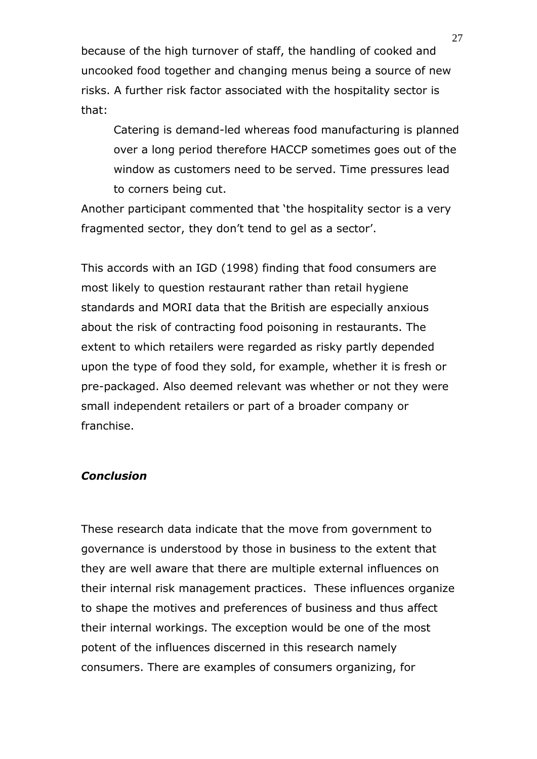because of the high turnover of staff, the handling of cooked and uncooked food together and changing menus being a source of new risks. A further risk factor associated with the hospitality sector is that:

Catering is demand-led whereas food manufacturing is planned over a long period therefore HACCP sometimes goes out of the window as customers need to be served. Time pressures lead to corners being cut.

Another participant commented that 'the hospitality sector is a very fragmented sector, they don't tend to gel as a sector'.

This accords with an IGD (1998) finding that food consumers are most likely to question restaurant rather than retail hygiene standards and MORI data that the British are especially anxious about the risk of contracting food poisoning in restaurants. The extent to which retailers were regarded as risky partly depended upon the type of food they sold, for example, whether it is fresh or pre-packaged. Also deemed relevant was whether or not they were small independent retailers or part of a broader company or franchise.

#### *Conclusion*

These research data indicate that the move from government to governance is understood by those in business to the extent that they are well aware that there are multiple external influences on their internal risk management practices. These influences organize to shape the motives and preferences of business and thus affect their internal workings. The exception would be one of the most potent of the influences discerned in this research namely consumers. There are examples of consumers organizing, for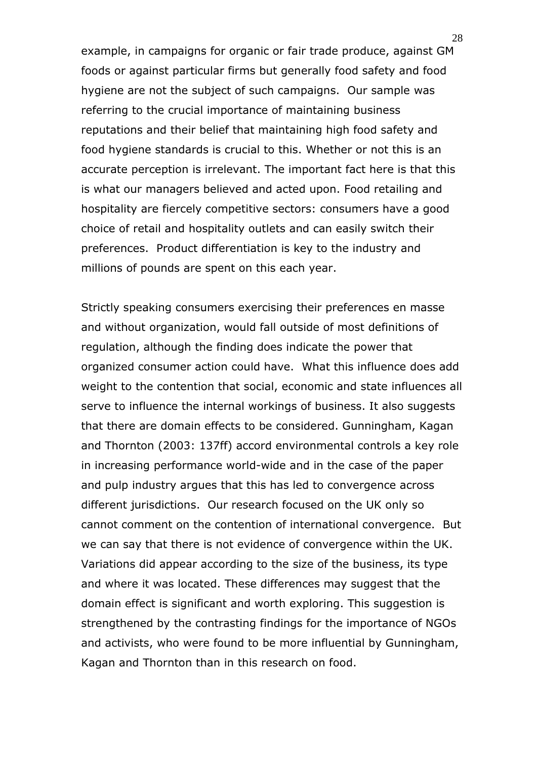example, in campaigns for organic or fair trade produce, against GM foods or against particular firms but generally food safety and food hygiene are not the subject of such campaigns. Our sample was referring to the crucial importance of maintaining business reputations and their belief that maintaining high food safety and food hygiene standards is crucial to this. Whether or not this is an accurate perception is irrelevant. The important fact here is that this is what our managers believed and acted upon. Food retailing and hospitality are fiercely competitive sectors: consumers have a good choice of retail and hospitality outlets and can easily switch their preferences. Product differentiation is key to the industry and millions of pounds are spent on this each year.

Strictly speaking consumers exercising their preferences en masse and without organization, would fall outside of most definitions of regulation, although the finding does indicate the power that organized consumer action could have. What this influence does add weight to the contention that social, economic and state influences all serve to influence the internal workings of business. It also suggests that there are domain effects to be considered. Gunningham, Kagan and Thornton (2003: 137ff) accord environmental controls a key role in increasing performance world-wide and in the case of the paper and pulp industry argues that this has led to convergence across different jurisdictions. Our research focused on the UK only so cannot comment on the contention of international convergence. But we can say that there is not evidence of convergence within the UK. Variations did appear according to the size of the business, its type and where it was located. These differences may suggest that the domain effect is significant and worth exploring. This suggestion is strengthened by the contrasting findings for the importance of NGOs and activists, who were found to be more influential by Gunningham, Kagan and Thornton than in this research on food.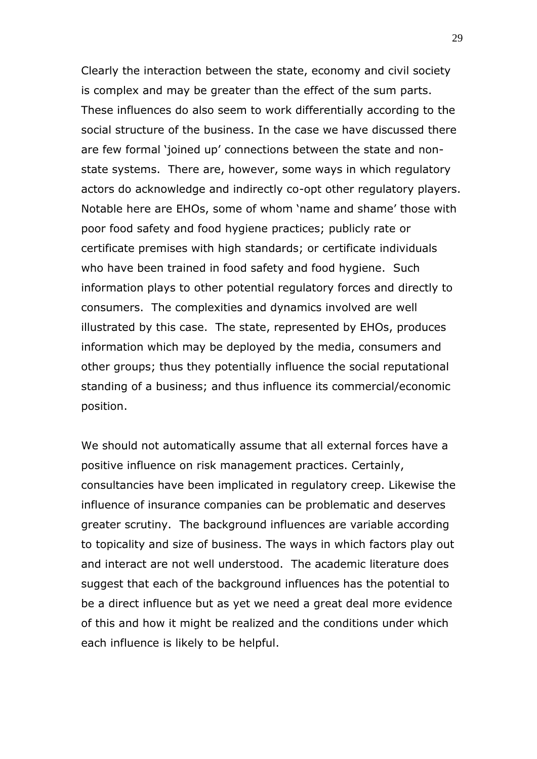Clearly the interaction between the state, economy and civil society is complex and may be greater than the effect of the sum parts. These influences do also seem to work differentially according to the social structure of the business. In the case we have discussed there are few formal 'joined up' connections between the state and nonstate systems. There are, however, some ways in which regulatory actors do acknowledge and indirectly co-opt other regulatory players. Notable here are EHOs, some of whom 'name and shame' those with poor food safety and food hygiene practices; publicly rate or certificate premises with high standards; or certificate individuals who have been trained in food safety and food hygiene. Such information plays to other potential regulatory forces and directly to consumers. The complexities and dynamics involved are well illustrated by this case. The state, represented by EHOs, produces information which may be deployed by the media, consumers and other groups; thus they potentially influence the social reputational standing of a business; and thus influence its commercial/economic position.

We should not automatically assume that all external forces have a positive influence on risk management practices. Certainly, consultancies have been implicated in regulatory creep. Likewise the influence of insurance companies can be problematic and deserves greater scrutiny. The background influences are variable according to topicality and size of business. The ways in which factors play out and interact are not well understood. The academic literature does suggest that each of the background influences has the potential to be a direct influence but as yet we need a great deal more evidence of this and how it might be realized and the conditions under which each influence is likely to be helpful.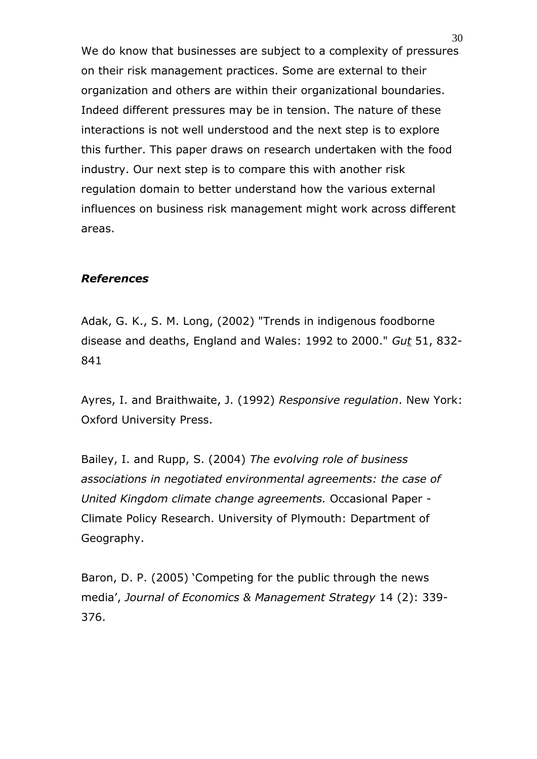We do know that businesses are subject to a complexity of pressures on their risk management practices. Some are external to their organization and others are within their organizational boundaries. Indeed different pressures may be in tension. The nature of these interactions is not well understood and the next step is to explore this further. This paper draws on research undertaken with the food industry. Our next step is to compare this with another risk regulation domain to better understand how the various external influences on business risk management might work across different areas.

#### *References*

Adak, G. K., S. M. Long, (2002) "Trends in indigenous foodborne disease and deaths, England and Wales: 1992 to 2000." *Gut* 51, 832- 841

Ayres, I. and Braithwaite, J. (1992) *Responsive regulation*. New York: Oxford University Press.

Bailey, I. and Rupp, S. (2004) *The evolving role of business associations in negotiated environmental agreements: the case of United Kingdom climate change agreements.* Occasional Paper - Climate Policy Research. University of Plymouth: Department of Geography.

Baron, D. P. (2005) 'Competing for the public through the news media', *Journal of Economics & Management Strategy* 14 (2): 339- 376.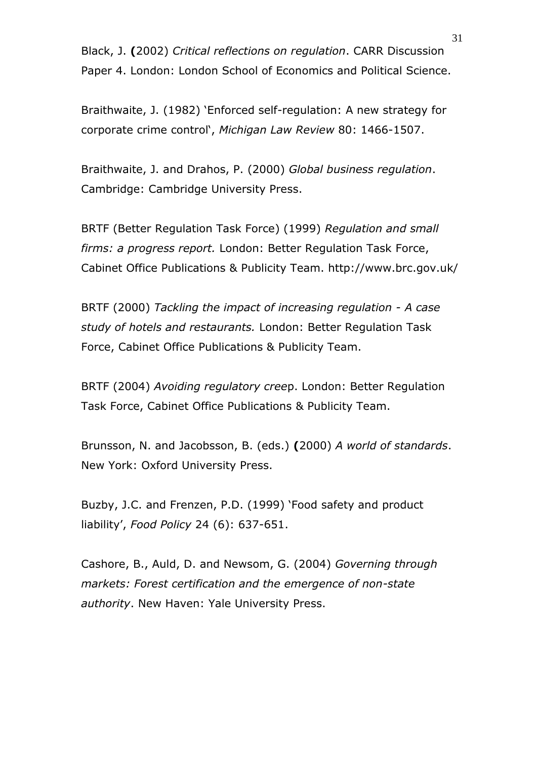Black, J. **(**2002) *Critical reflections on regulation*. CARR Discussion Paper 4. London: London School of Economics and Political Science.

Braithwaite, J. (1982) 'Enforced self-regulation: A new strategy for corporate crime control', *Michigan Law Review* 80: 1466-1507.

Braithwaite, J. and Drahos, P. (2000) *Global business regulation*. Cambridge: Cambridge University Press.

BRTF (Better Regulation Task Force) (1999) *Regulation and small firms: a progress report.* London: Better Regulation Task Force, Cabinet Office Publications & Publicity Team. http://www.brc.gov.uk/

BRTF (2000) *Tackling the impact of increasing regulation - A case study of hotels and restaurants.* London: Better Regulation Task Force, Cabinet Office Publications & Publicity Team.

BRTF (2004) *Avoiding regulatory cree*p. London: Better Regulation Task Force, Cabinet Office Publications & Publicity Team.

Brunsson, N. and Jacobsson, B. (eds.) **(**2000) *A world of standards*. New York: Oxford University Press.

Buzby, J.C. and Frenzen, P.D. (1999) 'Food safety and product liability', *Food Policy* 24 (6): 637-651.

Cashore, B., Auld, D. and Newsom, G. (2004) *Governing through markets: Forest certification and the emergence of non-state authority*. New Haven: Yale University Press.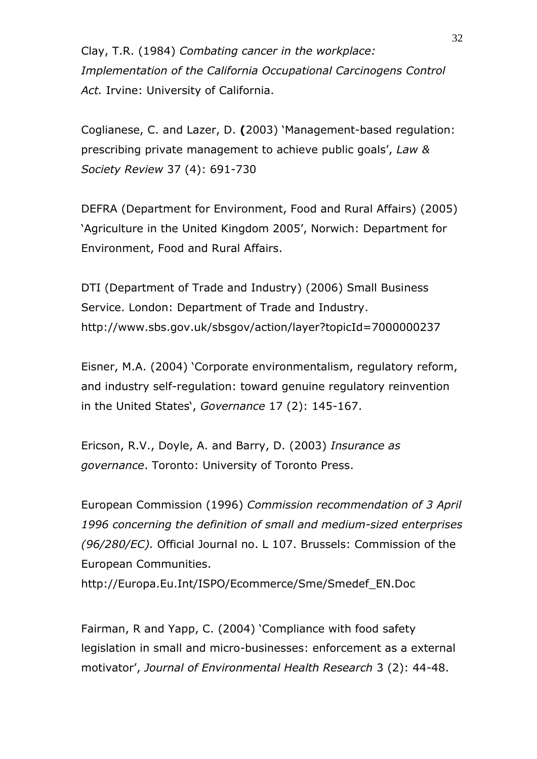Clay, T.R. (1984) *Combating cancer in the workplace: Implementation of the California Occupational Carcinogens Control Act.* Irvine: University of California.

Coglianese, C. and Lazer, D. **(**2003) 'Management-based regulation: prescribing private management to achieve public goals', *Law & Society Review* 37 (4): 691-730

DEFRA (Department for Environment, Food and Rural Affairs) (2005) 'Agriculture in the United Kingdom 2005', Norwich: Department for Environment, Food and Rural Affairs.

DTI (Department of Trade and Industry) (2006) Small Business Service. London: Department of Trade and Industry. http://www.sbs.gov.uk/sbsgov/action/layer?topicId=7000000237

Eisner, M.A. (2004) 'Corporate environmentalism, regulatory reform, and industry self-regulation: toward genuine regulatory reinvention in the United States', *Governance* 17 (2): 145-167.

Ericson, R.V., Doyle, A. and Barry, D. (2003) *Insurance as governance*. Toronto: University of Toronto Press.

European Commission (1996) *Commission recommendation of 3 April 1996 concerning the definition of small and medium-sized enterprises (96/280/EC).* Official Journal no. L 107. Brussels: Commission of the European Communities.

http://Europa.Eu.Int/ISPO/Ecommerce/Sme/Smedef\_EN.Doc

Fairman, R and Yapp, C. (2004) 'Compliance with food safety legislation in small and micro-businesses: enforcement as a external motivator', *Journal of Environmental Health Research* 3 (2): 44-48.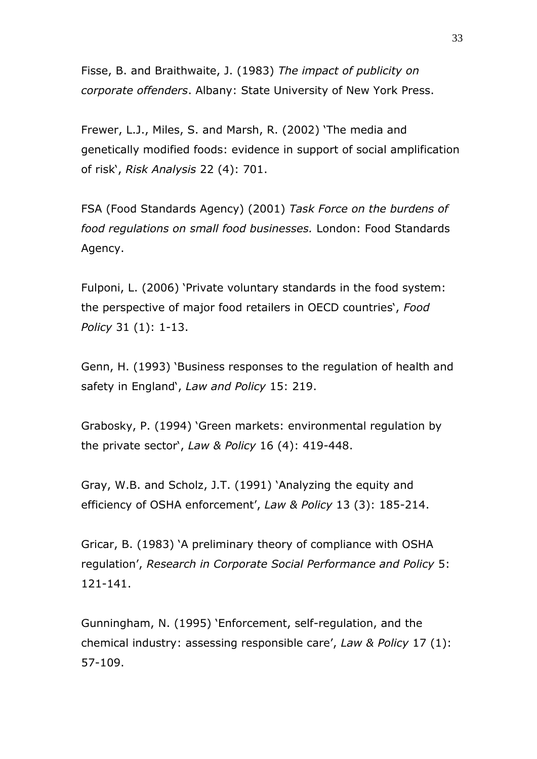Fisse, B. and Braithwaite, J. (1983) *The impact of publicity on corporate offenders*. Albany: State University of New York Press.

Frewer, L.J., Miles, S. and Marsh, R. (2002) 'The media and genetically modified foods: evidence in support of social amplification of risk', *Risk Analysis* 22 (4): 701.

FSA (Food Standards Agency) (2001) *Task Force on the burdens of food regulations on small food businesses.* London: Food Standards Agency.

Fulponi, L. (2006) 'Private voluntary standards in the food system: the perspective of major food retailers in OECD countries', *Food Policy* 31 (1): 1-13.

Genn, H. (1993) 'Business responses to the regulation of health and safety in England', *Law and Policy* 15: 219.

Grabosky, P. (1994) 'Green markets: environmental regulation by the private sector', *Law & Policy* 16 (4): 419-448.

Gray, W.B. and Scholz, J.T. (1991) 'Analyzing the equity and efficiency of OSHA enforcement', *Law & Policy* 13 (3): 185-214.

Gricar, B. (1983) 'A preliminary theory of compliance with OSHA regulation', *Research in Corporate Social Performance and Policy* 5: 121-141.

Gunningham, N. (1995) 'Enforcement, self-regulation, and the chemical industry: assessing responsible care', *Law & Policy* 17 (1): 57-109.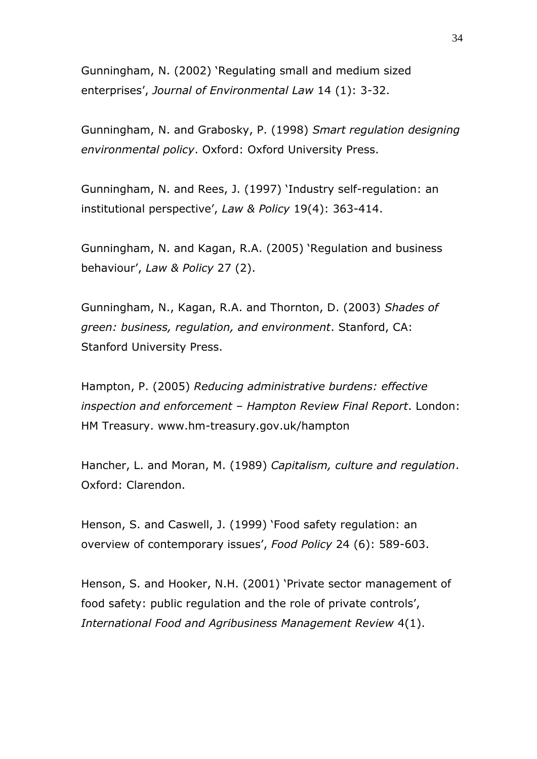Gunningham, N. (2002) 'Regulating small and medium sized enterprises', *Journal of Environmental Law* 14 (1): 3-32.

Gunningham, N. and Grabosky, P. (1998) *Smart regulation designing environmental policy*. Oxford: Oxford University Press.

Gunningham, N. and Rees, J. (1997) 'Industry self-regulation: an institutional perspective', *Law & Policy* 19(4): 363-414.

Gunningham, N. and Kagan, R.A. (2005) 'Regulation and business behaviour', *Law & Policy* 27 (2).

Gunningham, N., Kagan, R.A. and Thornton, D. (2003) *Shades of green: business, regulation, and environment*. Stanford, CA: Stanford University Press.

Hampton, P. (2005) *Reducing administrative burdens: effective inspection and enforcement – Hampton Review Final Report*. London: HM Treasury. www.hm-treasury.gov.uk/hampton

Hancher, L. and Moran, M. (1989) *Capitalism, culture and regulation*. Oxford: Clarendon.

Henson, S. and Caswell, J. (1999) 'Food safety regulation: an overview of contemporary issues', *Food Policy* 24 (6): 589-603.

Henson, S. and Hooker, N.H. (2001) 'Private sector management of food safety: public regulation and the role of private controls', *International Food and Agribusiness Management Review* 4(1).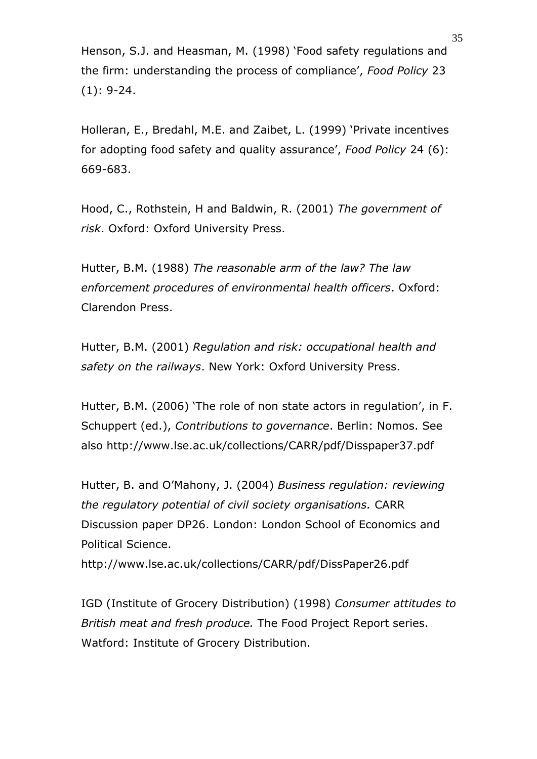Henson, S.J. and Heasman, M. (1998) 'Food safety regulations and the firm: understanding the process of compliance', *Food Policy* 23 (1): 9-24.

Holleran, E., Bredahl, M.E. and Zaibet, L. (1999) 'Private incentives for adopting food safety and quality assurance', *Food Policy* 24 (6): 669-683.

Hood, C., Rothstein, H and Baldwin, R. (2001) *The government of risk*. Oxford: Oxford University Press.

Hutter, B.M. (1988) *The reasonable arm of the law? The law enforcement procedures of environmental health officers*. Oxford: Clarendon Press.

Hutter, B.M. (2001) *Regulation and risk: occupational health and safety on the railways*. New York: Oxford University Press.

Hutter, B.M. (2006) 'The role of non state actors in regulation', in F. Schuppert (ed.), *Contributions to governance*. Berlin: Nomos. See also http://www.lse.ac.uk/collections/CARR/pdf/Disspaper37.pdf

Hutter, B. and O'Mahony, J. (2004) *Business regulation: reviewing the regulatory potential of civil society organisations.* CARR Discussion paper DP26. London: London School of Economics and Political Science.

http://www.lse.ac.uk/collections/CARR/pdf/DissPaper26.pdf

IGD (Institute of Grocery Distribution) (1998) *Consumer attitudes to British meat and fresh produce.* The Food Project Report series. Watford: Institute of Grocery Distribution.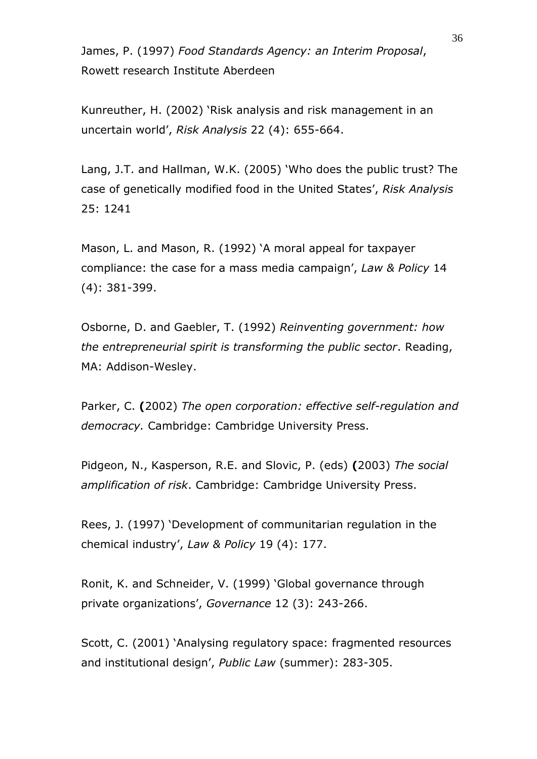James, P. (1997) *Food Standards Agency: an Interim Proposal*, Rowett research Institute Aberdeen

Kunreuther, H. (2002) 'Risk analysis and risk management in an uncertain world', *Risk Analysis* 22 (4): 655-664.

Lang, J.T. and Hallman, W.K. (2005) 'Who does the public trust? The case of genetically modified food in the United States', *Risk Analysis* 25: 1241

Mason, L. and Mason, R. (1992) 'A moral appeal for taxpayer compliance: the case for a mass media campaign', *Law & Policy* 14 (4): 381-399.

Osborne, D. and Gaebler, T. (1992) *Reinventing government: how the entrepreneurial spirit is transforming the public sector*. Reading, MA: Addison-Wesley.

Parker, C. **(**2002) *The open corporation: effective self-regulation and democracy.* Cambridge: Cambridge University Press.

Pidgeon, N., Kasperson, R.E. and Slovic, P. (eds) **(**2003) *The social amplification of risk*. Cambridge: Cambridge University Press.

Rees, J. (1997) 'Development of communitarian regulation in the chemical industry', *Law & Policy* 19 (4): 177.

Ronit, K. and Schneider, V. (1999) 'Global governance through private organizations', *Governance* 12 (3): 243-266.

Scott, C. (2001) 'Analysing regulatory space: fragmented resources and institutional design', *Public Law* (summer): 283-305.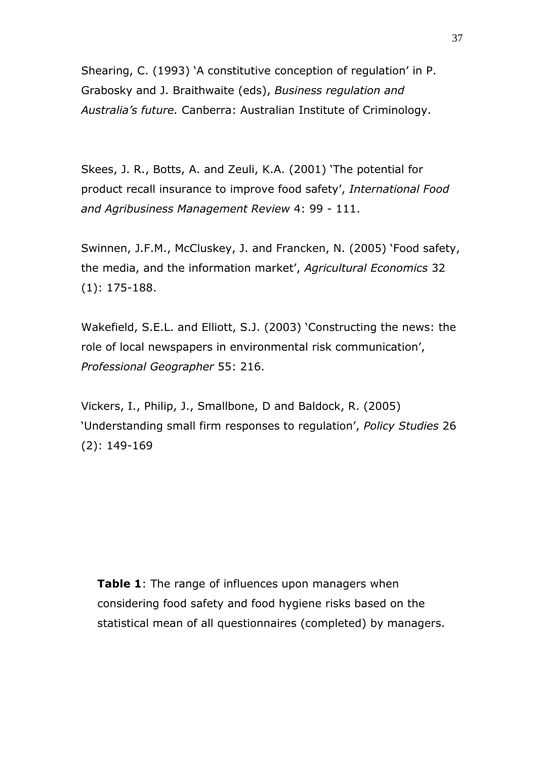Shearing, C. (1993) 'A constitutive conception of regulation' in P. Grabosky and J. Braithwaite (eds), *Business regulation and Australia's future.* Canberra: Australian Institute of Criminology.

Skees, J. R., Botts, A. and Zeuli, K.A. (2001) 'The potential for product recall insurance to improve food safety', *International Food and Agribusiness Management Review* 4: 99 - 111.

Swinnen, J.F.M., McCluskey, J. and Francken, N. (2005) 'Food safety, the media, and the information market', *Agricultural Economics* 32 (1): 175-188.

Wakefield, S.E.L. and Elliott, S.J. (2003) 'Constructing the news: the role of local newspapers in environmental risk communication', *Professional Geographer* 55: 216.

Vickers, I., Philip, J., Smallbone, D and Baldock, R. (2005) 'Understanding small firm responses to regulation', *Policy Studies* 26 (2): 149-169

**Table 1:** The range of influences upon managers when considering food safety and food hygiene risks based on the statistical mean of all questionnaires (completed) by managers.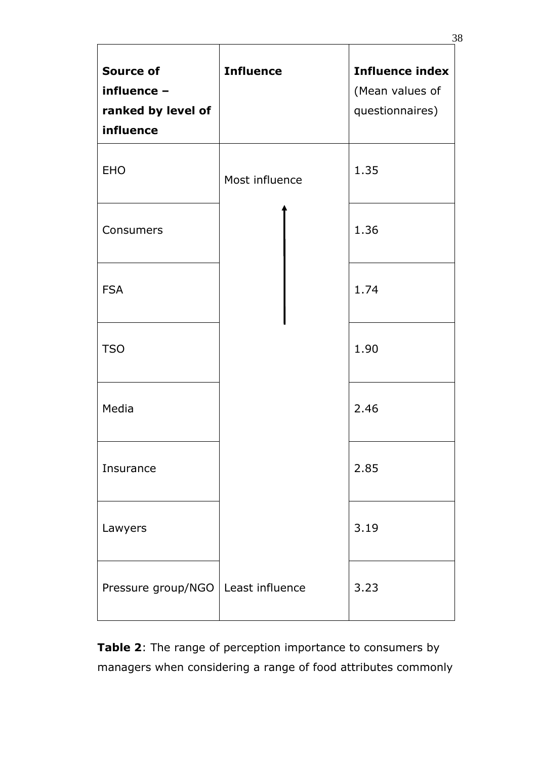| <b>Source of</b><br>influence -<br>ranked by level of<br>influence | <b>Influence</b> | <b>Influence index</b><br>(Mean values of<br>questionnaires) |
|--------------------------------------------------------------------|------------------|--------------------------------------------------------------|
| <b>EHO</b>                                                         | Most influence   | 1.35                                                         |
| Consumers                                                          |                  | 1.36                                                         |
| <b>FSA</b>                                                         |                  | 1.74                                                         |
| <b>TSO</b>                                                         |                  | 1.90                                                         |
| Media                                                              |                  | 2.46                                                         |
| Insurance                                                          |                  | 2.85                                                         |
| Lawyers                                                            |                  | 3.19                                                         |
| Pressure group/NGO                                                 | Least influence  | 3.23                                                         |

**Table 2**: The range of perception importance to consumers by managers when considering a range of food attributes commonly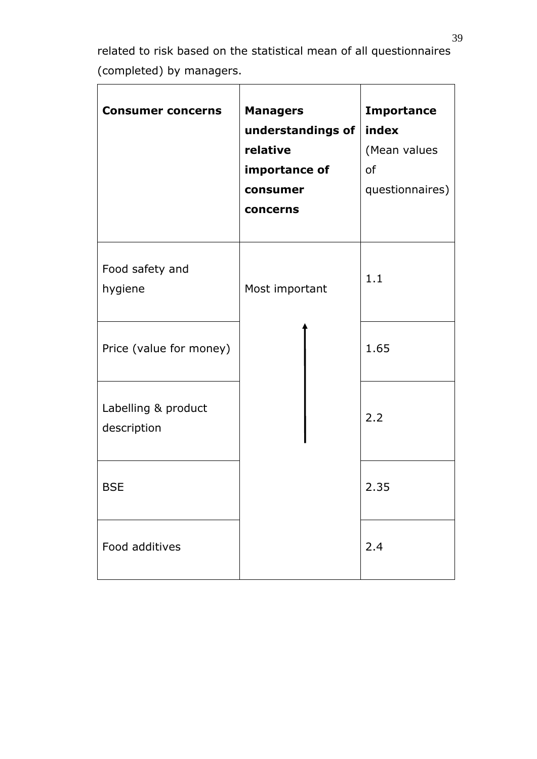related to risk based on the statistical mean of all questionnaires (completed) by managers.

| <b>Consumer concerns</b>           | <b>Managers</b><br>understandings of<br>relative<br>importance of<br>consumer<br>concerns | <b>Importance</b><br>index<br>(Mean values<br>of<br>questionnaires) |
|------------------------------------|-------------------------------------------------------------------------------------------|---------------------------------------------------------------------|
| Food safety and<br>hygiene         | Most important                                                                            | 1.1                                                                 |
| Price (value for money)            |                                                                                           | 1.65                                                                |
| Labelling & product<br>description |                                                                                           | 2.2                                                                 |
| <b>BSE</b>                         |                                                                                           | 2.35                                                                |
| Food additives                     |                                                                                           | 2.4                                                                 |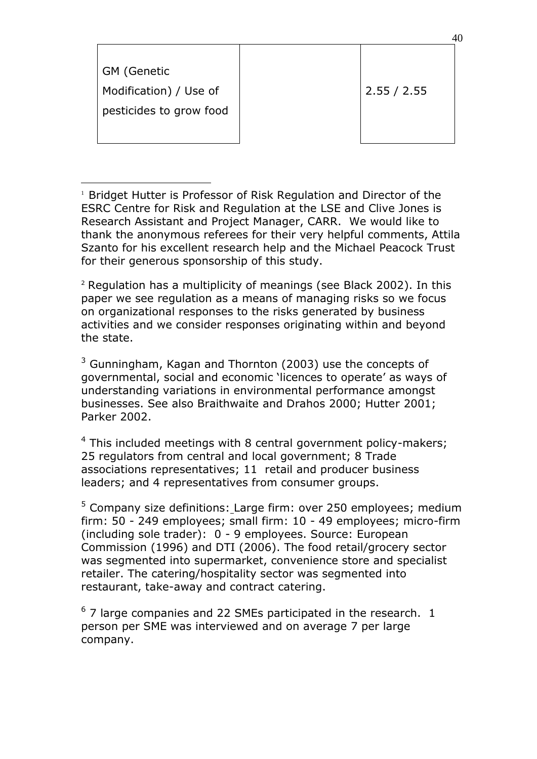| GM (Genetic             |             |
|-------------------------|-------------|
| Modification) / Use of  | 2.55 / 2.55 |
| pesticides to grow food |             |
|                         |             |

40

<sup>1</sup> Bridget Hutter is Professor of Risk Regulation and Director of the ESRC Centre for Risk and Regulation at the LSE and Clive Jones is Research Assistant and Project Manager, CARR. We would like to thank the anonymous referees for their very helpful comments, Attila Szanto for his excellent research help and the Michael Peacock Trust for their generous sponsorship of this study.

1

 $2$  Regulation has a multiplicity of meanings (see Black 2002). In this paper we see regulation as a means of managing risks so we focus on organizational responses to the risks generated by business activities and we consider responses originating within and beyond the state.

 $3$  Gunningham, Kagan and Thornton (2003) use the concepts of governmental, social and economic 'licences to operate' as ways of understanding variations in environmental performance amongst businesses. See also Braithwaite and Drahos 2000; Hutter 2001; Parker 2002.

 $4$  This included meetings with 8 central government policy-makers; 25 regulators from central and local government; 8 Trade associations representatives; 11 retail and producer business leaders; and 4 representatives from consumer groups.

 $5$  Company size definitions: Large firm: over 250 employees; medium firm: 50 - 249 employees; small firm: 10 - 49 employees; micro-firm (including sole trader): 0 - 9 employees. Source: European Commission (1996) and DTI (2006). The food retail/grocery sector was segmented into supermarket, convenience store and specialist retailer. The catering/hospitality sector was segmented into restaurant, take-away and contract catering.

 $6$  7 large companies and 22 SMEs participated in the research. 1 person per SME was interviewed and on average 7 per large company.